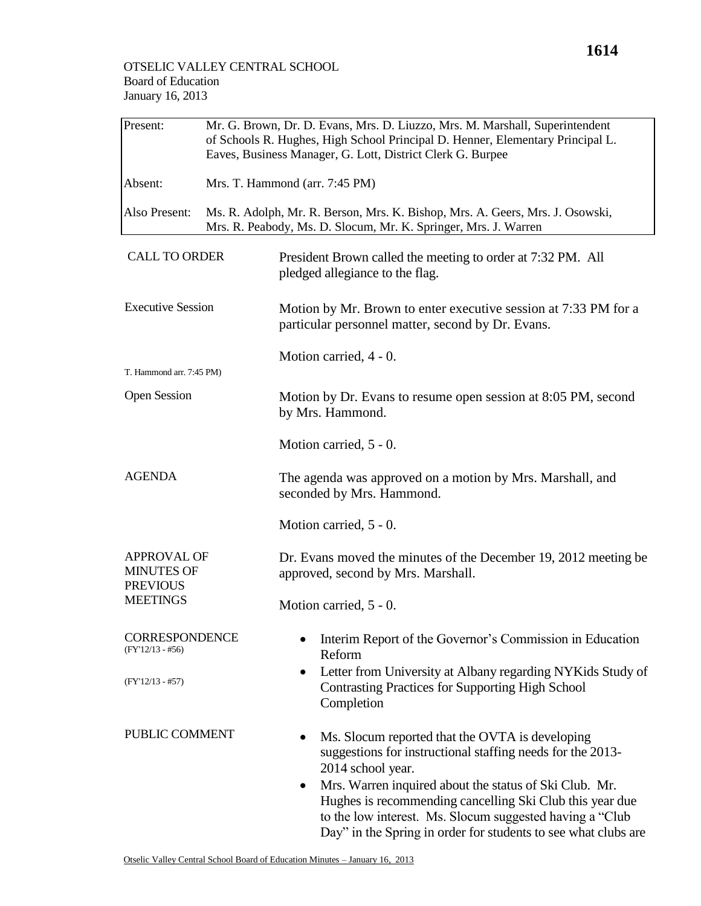| Present:                                                                      | Mr. G. Brown, Dr. D. Evans, Mrs. D. Liuzzo, Mrs. M. Marshall, Superintendent<br>of Schools R. Hughes, High School Principal D. Henner, Elementary Principal L.<br>Eaves, Business Manager, G. Lott, District Clerk G. Burpee |                                                                                                                                                                                                                                                                                                                                                                                         |  |  |
|-------------------------------------------------------------------------------|------------------------------------------------------------------------------------------------------------------------------------------------------------------------------------------------------------------------------|-----------------------------------------------------------------------------------------------------------------------------------------------------------------------------------------------------------------------------------------------------------------------------------------------------------------------------------------------------------------------------------------|--|--|
| Absent:                                                                       | Mrs. T. Hammond (arr. 7:45 PM)                                                                                                                                                                                               |                                                                                                                                                                                                                                                                                                                                                                                         |  |  |
| Also Present:                                                                 |                                                                                                                                                                                                                              | Ms. R. Adolph, Mr. R. Berson, Mrs. K. Bishop, Mrs. A. Geers, Mrs. J. Osowski,<br>Mrs. R. Peabody, Ms. D. Slocum, Mr. K. Springer, Mrs. J. Warren                                                                                                                                                                                                                                        |  |  |
| <b>CALL TO ORDER</b>                                                          |                                                                                                                                                                                                                              | President Brown called the meeting to order at 7:32 PM. All<br>pledged allegiance to the flag.                                                                                                                                                                                                                                                                                          |  |  |
| <b>Executive Session</b>                                                      |                                                                                                                                                                                                                              | Motion by Mr. Brown to enter executive session at 7:33 PM for a<br>particular personnel matter, second by Dr. Evans.                                                                                                                                                                                                                                                                    |  |  |
| T. Hammond arr. 7:45 PM)                                                      |                                                                                                                                                                                                                              | Motion carried, 4 - 0.                                                                                                                                                                                                                                                                                                                                                                  |  |  |
| <b>Open Session</b>                                                           |                                                                                                                                                                                                                              | Motion by Dr. Evans to resume open session at 8:05 PM, second<br>by Mrs. Hammond.                                                                                                                                                                                                                                                                                                       |  |  |
|                                                                               |                                                                                                                                                                                                                              | Motion carried, 5 - 0.                                                                                                                                                                                                                                                                                                                                                                  |  |  |
| <b>AGENDA</b>                                                                 |                                                                                                                                                                                                                              | The agenda was approved on a motion by Mrs. Marshall, and<br>seconded by Mrs. Hammond.                                                                                                                                                                                                                                                                                                  |  |  |
|                                                                               |                                                                                                                                                                                                                              | Motion carried, 5 - 0.                                                                                                                                                                                                                                                                                                                                                                  |  |  |
| <b>APPROVAL OF</b><br><b>MINUTES OF</b><br><b>PREVIOUS</b><br><b>MEETINGS</b> |                                                                                                                                                                                                                              | Dr. Evans moved the minutes of the December 19, 2012 meeting be<br>approved, second by Mrs. Marshall.                                                                                                                                                                                                                                                                                   |  |  |
|                                                                               |                                                                                                                                                                                                                              | Motion carried, 5 - 0.                                                                                                                                                                                                                                                                                                                                                                  |  |  |
| <b>CORRESPONDENCE</b><br>$(FY'12/13 - #56)$                                   |                                                                                                                                                                                                                              | Interim Report of the Governor's Commission in Education<br>Reform                                                                                                                                                                                                                                                                                                                      |  |  |
| $(FY'12/13 - #57)$                                                            |                                                                                                                                                                                                                              | Letter from University at Albany regarding NYKids Study of<br>$\bullet$<br><b>Contrasting Practices for Supporting High School</b><br>Completion                                                                                                                                                                                                                                        |  |  |
| PUBLIC COMMENT                                                                |                                                                                                                                                                                                                              | Ms. Slocum reported that the OVTA is developing<br>suggestions for instructional staffing needs for the 2013-<br>2014 school year.<br>Mrs. Warren inquired about the status of Ski Club. Mr.<br>Hughes is recommending cancelling Ski Club this year due<br>to the low interest. Ms. Slocum suggested having a "Club"<br>Day" in the Spring in order for students to see what clubs are |  |  |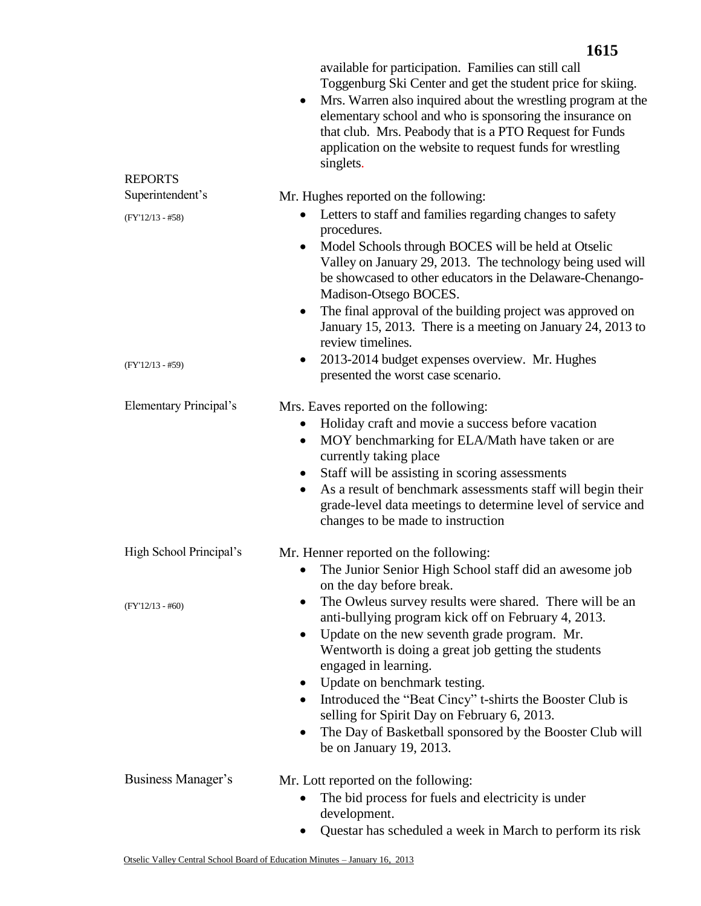|                               | available for participation. Families can still call<br>Toggenburg Ski Center and get the student price for skiing.<br>Mrs. Warren also inquired about the wrestling program at the<br>$\bullet$<br>elementary school and who is sponsoring the insurance on<br>that club. Mrs. Peabody that is a PTO Request for Funds<br>application on the website to request funds for wrestling<br>singlets.                                                                                        |
|-------------------------------|------------------------------------------------------------------------------------------------------------------------------------------------------------------------------------------------------------------------------------------------------------------------------------------------------------------------------------------------------------------------------------------------------------------------------------------------------------------------------------------|
| <b>REPORTS</b>                |                                                                                                                                                                                                                                                                                                                                                                                                                                                                                          |
| Superintendent's              | Mr. Hughes reported on the following:                                                                                                                                                                                                                                                                                                                                                                                                                                                    |
| $(FY'12/13 - #58)$            | Letters to staff and families regarding changes to safety<br>procedures.                                                                                                                                                                                                                                                                                                                                                                                                                 |
|                               | Model Schools through BOCES will be held at Otselic<br>Valley on January 29, 2013. The technology being used will<br>be showcased to other educators in the Delaware-Chenango-<br>Madison-Otsego BOCES.                                                                                                                                                                                                                                                                                  |
|                               | The final approval of the building project was approved on<br>$\bullet$<br>January 15, 2013. There is a meeting on January 24, 2013 to<br>review timelines.                                                                                                                                                                                                                                                                                                                              |
| $(FY'12/13 - #59)$            | 2013-2014 budget expenses overview. Mr. Hughes<br>$\bullet$<br>presented the worst case scenario.                                                                                                                                                                                                                                                                                                                                                                                        |
| <b>Elementary Principal's</b> | Mrs. Eaves reported on the following:                                                                                                                                                                                                                                                                                                                                                                                                                                                    |
|                               | Holiday craft and movie a success before vacation<br>MOY benchmarking for ELA/Math have taken or are<br>$\bullet$<br>currently taking place                                                                                                                                                                                                                                                                                                                                              |
|                               | Staff will be assisting in scoring assessments<br>$\bullet$<br>As a result of benchmark assessments staff will begin their<br>٠<br>grade-level data meetings to determine level of service and<br>changes to be made to instruction                                                                                                                                                                                                                                                      |
| High School Principal's       | Mr. Henner reported on the following:                                                                                                                                                                                                                                                                                                                                                                                                                                                    |
|                               | The Junior Senior High School staff did an awesome job<br>$\bullet$<br>on the day before break.                                                                                                                                                                                                                                                                                                                                                                                          |
| $(FY'12/13 - #60)$            | The Owleus survey results were shared. There will be an<br>anti-bullying program kick off on February 4, 2013.<br>Update on the new seventh grade program. Mr.<br>٠<br>Wentworth is doing a great job getting the students<br>engaged in learning.<br>Update on benchmark testing.<br>$\bullet$<br>Introduced the "Beat Cincy" t-shirts the Booster Club is<br>$\bullet$<br>selling for Spirit Day on February 6, 2013.<br>The Day of Basketball sponsored by the Booster Club will<br>٠ |
|                               | be on January 19, 2013.                                                                                                                                                                                                                                                                                                                                                                                                                                                                  |
| Business Manager's            | Mr. Lott reported on the following:<br>The bid process for fuels and electricity is under<br>development.<br>Questar has scheduled a week in March to perform its risk                                                                                                                                                                                                                                                                                                                   |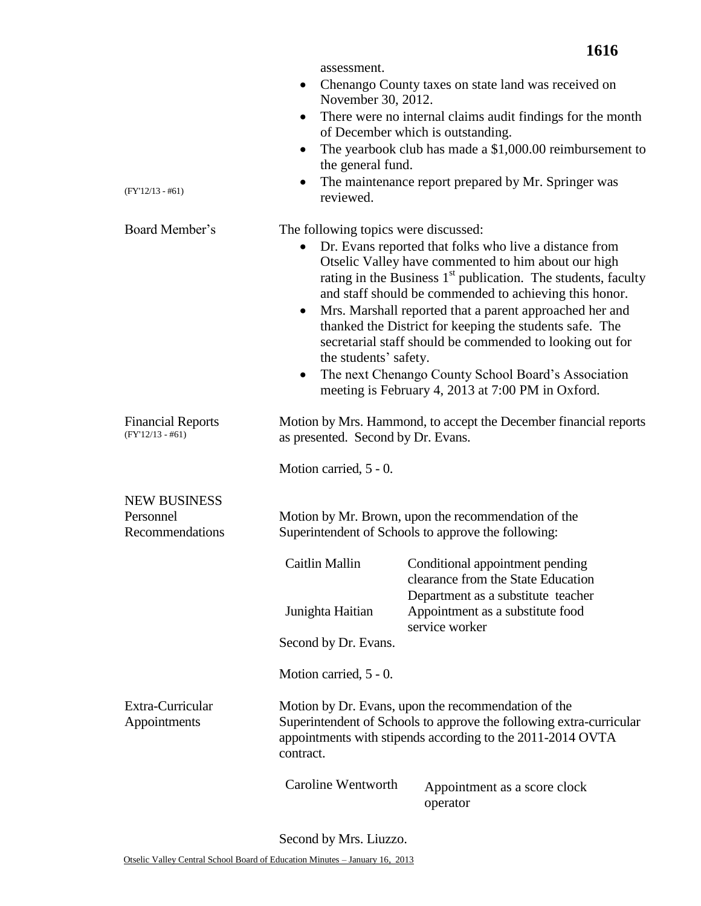| $(FY'12/13 - #61)$                                  | assessment.<br>$\bullet$<br>November 30, 2012.<br>$\bullet$<br>the general fund.<br>reviewed.                                                                                                                                                                                                                                                                                                                                                                                                                                                                                                                                       | Chenango County taxes on state land was received on<br>There were no internal claims audit findings for the month<br>of December which is outstanding.<br>The yearbook club has made a \$1,000.00 reimbursement to<br>The maintenance report prepared by Mr. Springer was |
|-----------------------------------------------------|-------------------------------------------------------------------------------------------------------------------------------------------------------------------------------------------------------------------------------------------------------------------------------------------------------------------------------------------------------------------------------------------------------------------------------------------------------------------------------------------------------------------------------------------------------------------------------------------------------------------------------------|---------------------------------------------------------------------------------------------------------------------------------------------------------------------------------------------------------------------------------------------------------------------------|
| Board Member's                                      | The following topics were discussed:<br>Dr. Evans reported that folks who live a distance from<br>Otselic Valley have commented to him about our high<br>rating in the Business $1st$ publication. The students, faculty<br>and staff should be commended to achieving this honor.<br>Mrs. Marshall reported that a parent approached her and<br>$\bullet$<br>thanked the District for keeping the students safe. The<br>secretarial staff should be commended to looking out for<br>the students' safety.<br>The next Chenango County School Board's Association<br>$\bullet$<br>meeting is February 4, 2013 at 7:00 PM in Oxford. |                                                                                                                                                                                                                                                                           |
| <b>Financial Reports</b><br>$(FY'12/13 - #61)$      | Motion by Mrs. Hammond, to accept the December financial reports<br>as presented. Second by Dr. Evans.                                                                                                                                                                                                                                                                                                                                                                                                                                                                                                                              |                                                                                                                                                                                                                                                                           |
|                                                     | Motion carried, 5 - 0.                                                                                                                                                                                                                                                                                                                                                                                                                                                                                                                                                                                                              |                                                                                                                                                                                                                                                                           |
| <b>NEW BUSINESS</b><br>Personnel<br>Recommendations | Motion by Mr. Brown, upon the recommendation of the<br>Superintendent of Schools to approve the following:                                                                                                                                                                                                                                                                                                                                                                                                                                                                                                                          |                                                                                                                                                                                                                                                                           |
|                                                     | Caitlin Mallin<br>Junighta Haitian                                                                                                                                                                                                                                                                                                                                                                                                                                                                                                                                                                                                  | Conditional appointment pending<br>clearance from the State Education<br>Department as a substitute teacher<br>Appointment as a substitute food                                                                                                                           |
|                                                     | Second by Dr. Evans.                                                                                                                                                                                                                                                                                                                                                                                                                                                                                                                                                                                                                | service worker                                                                                                                                                                                                                                                            |
|                                                     | Motion carried, 5 - 0.                                                                                                                                                                                                                                                                                                                                                                                                                                                                                                                                                                                                              |                                                                                                                                                                                                                                                                           |
| Extra-Curricular<br>Appointments                    | contract.                                                                                                                                                                                                                                                                                                                                                                                                                                                                                                                                                                                                                           | Motion by Dr. Evans, upon the recommendation of the<br>Superintendent of Schools to approve the following extra-curricular<br>appointments with stipends according to the 2011-2014 OVTA                                                                                  |
|                                                     | Caroline Wentworth                                                                                                                                                                                                                                                                                                                                                                                                                                                                                                                                                                                                                  | Appointment as a score clock<br>operator                                                                                                                                                                                                                                  |

**1616**

Second by Mrs. Liuzzo.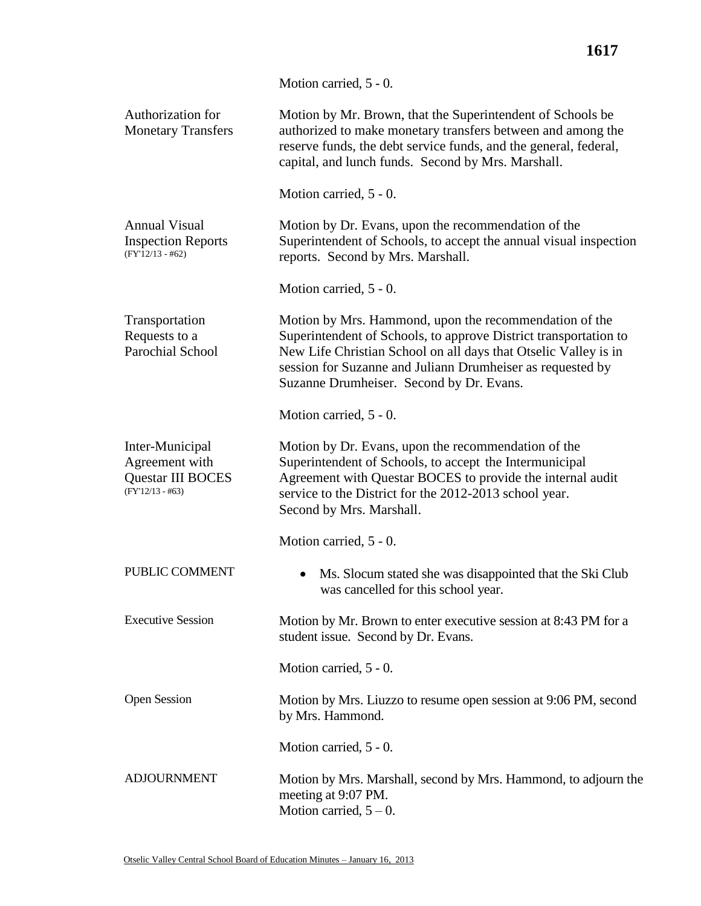|                                                                              | Motion carried, 5 - 0.                                                                                                                                                                                                                                                                                  |  |  |
|------------------------------------------------------------------------------|---------------------------------------------------------------------------------------------------------------------------------------------------------------------------------------------------------------------------------------------------------------------------------------------------------|--|--|
| Authorization for<br><b>Monetary Transfers</b>                               | Motion by Mr. Brown, that the Superintendent of Schools be<br>authorized to make monetary transfers between and among the<br>reserve funds, the debt service funds, and the general, federal,<br>capital, and lunch funds. Second by Mrs. Marshall.                                                     |  |  |
|                                                                              | Motion carried, 5 - 0.                                                                                                                                                                                                                                                                                  |  |  |
| <b>Annual Visual</b><br><b>Inspection Reports</b><br>$(FY'12/13 - #62)$      | Motion by Dr. Evans, upon the recommendation of the<br>Superintendent of Schools, to accept the annual visual inspection<br>reports. Second by Mrs. Marshall.                                                                                                                                           |  |  |
|                                                                              | Motion carried, 5 - 0.                                                                                                                                                                                                                                                                                  |  |  |
| Transportation<br>Requests to a<br>Parochial School                          | Motion by Mrs. Hammond, upon the recommendation of the<br>Superintendent of Schools, to approve District transportation to<br>New Life Christian School on all days that Otselic Valley is in<br>session for Suzanne and Juliann Drumheiser as requested by<br>Suzanne Drumheiser. Second by Dr. Evans. |  |  |
|                                                                              | Motion carried, 5 - 0.                                                                                                                                                                                                                                                                                  |  |  |
| Inter-Municipal<br>Agreement with<br>Questar III BOCES<br>$(FY'12/13 - #63)$ | Motion by Dr. Evans, upon the recommendation of the<br>Superintendent of Schools, to accept the Intermunicipal<br>Agreement with Questar BOCES to provide the internal audit<br>service to the District for the 2012-2013 school year.<br>Second by Mrs. Marshall.                                      |  |  |
|                                                                              | Motion carried, 5 - 0.                                                                                                                                                                                                                                                                                  |  |  |
| PUBLIC COMMENT                                                               | Ms. Slocum stated she was disappointed that the Ski Club<br>was cancelled for this school year.                                                                                                                                                                                                         |  |  |
| <b>Executive Session</b>                                                     | Motion by Mr. Brown to enter executive session at 8:43 PM for a<br>student issue. Second by Dr. Evans.                                                                                                                                                                                                  |  |  |
|                                                                              | Motion carried, 5 - 0.                                                                                                                                                                                                                                                                                  |  |  |
| <b>Open Session</b>                                                          | Motion by Mrs. Liuzzo to resume open session at 9:06 PM, second<br>by Mrs. Hammond.                                                                                                                                                                                                                     |  |  |
|                                                                              | Motion carried, 5 - 0.                                                                                                                                                                                                                                                                                  |  |  |
| <b>ADJOURNMENT</b>                                                           | Motion by Mrs. Marshall, second by Mrs. Hammond, to adjourn the<br>meeting at 9:07 PM.<br>Motion carried, $5 - 0$ .                                                                                                                                                                                     |  |  |